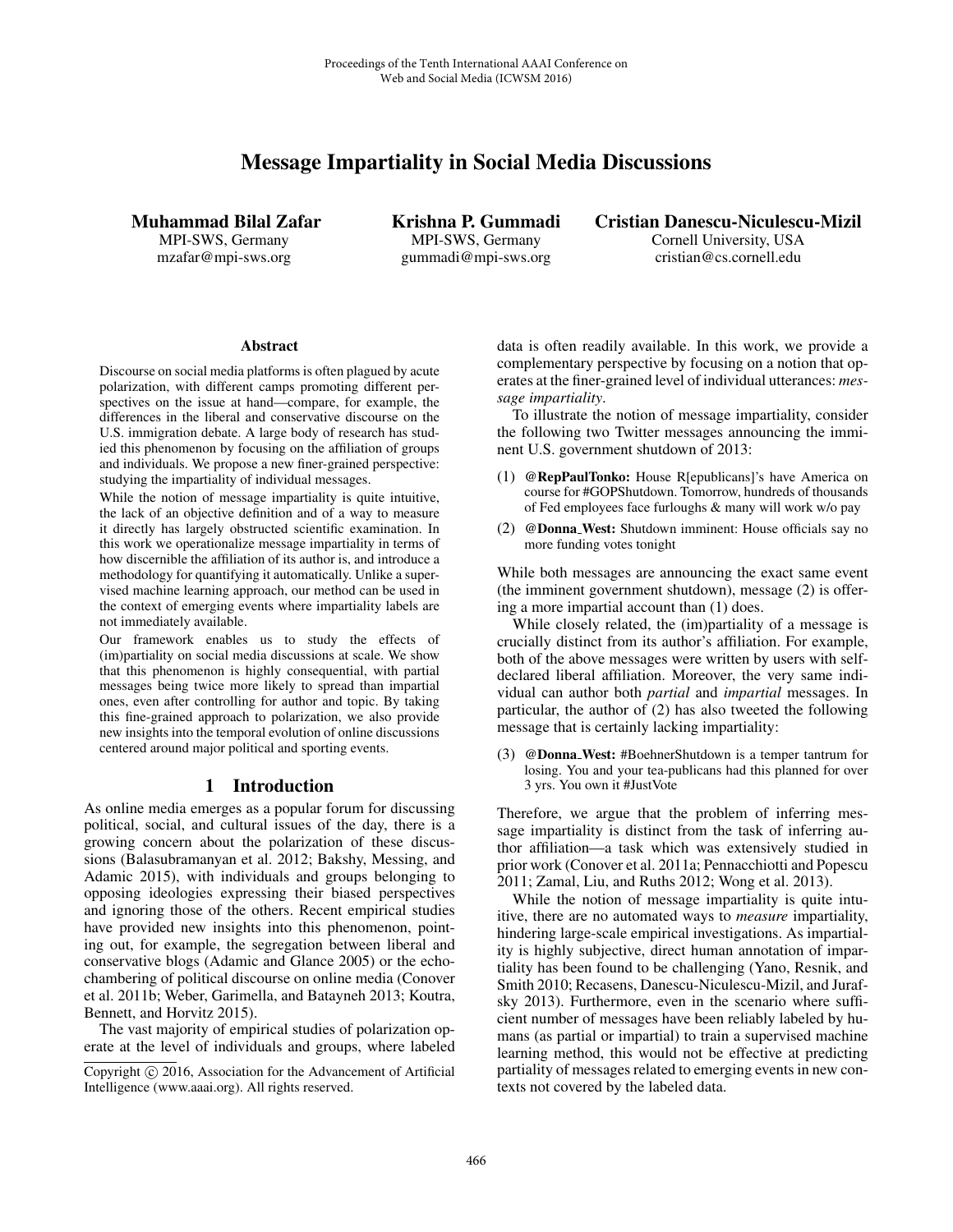# Message Impartiality in Social Media Discussions

Muhammad Bilal Zafar MPI-SWS, Germany mzafar@mpi-sws.org

Krishna P. Gummadi MPI-SWS, Germany gummadi@mpi-sws.org

Cristian Danescu-Niculescu-Mizil Cornell University, USA cristian@cs.cornell.edu

#### Abstract

Discourse on social media platforms is often plagued by acute polarization, with different camps promoting different perspectives on the issue at hand—compare, for example, the differences in the liberal and conservative discourse on the U.S. immigration debate. A large body of research has studied this phenomenon by focusing on the affiliation of groups and individuals. We propose a new finer-grained perspective: studying the impartiality of individual messages.

While the notion of message impartiality is quite intuitive, the lack of an objective definition and of a way to measure it directly has largely obstructed scientific examination. In this work we operationalize message impartiality in terms of how discernible the affiliation of its author is, and introduce a methodology for quantifying it automatically. Unlike a supervised machine learning approach, our method can be used in the context of emerging events where impartiality labels are not immediately available.

Our framework enables us to study the effects of (im)partiality on social media discussions at scale. We show that this phenomenon is highly consequential, with partial messages being twice more likely to spread than impartial ones, even after controlling for author and topic. By taking this fine-grained approach to polarization, we also provide new insights into the temporal evolution of online discussions centered around major political and sporting events.

### 1 Introduction

As online media emerges as a popular forum for discussing political, social, and cultural issues of the day, there is a growing concern about the polarization of these discussions (Balasubramanyan et al. 2012; Bakshy, Messing, and Adamic 2015), with individuals and groups belonging to opposing ideologies expressing their biased perspectives and ignoring those of the others. Recent empirical studies have provided new insights into this phenomenon, pointing out, for example, the segregation between liberal and conservative blogs (Adamic and Glance 2005) or the echochambering of political discourse on online media (Conover et al. 2011b; Weber, Garimella, and Batayneh 2013; Koutra, Bennett, and Horvitz 2015).

The vast majority of empirical studies of polarization operate at the level of individuals and groups, where labeled data is often readily available. In this work, we provide a complementary perspective by focusing on a notion that operates at the finer-grained level of individual utterances: *message impartiality*.

To illustrate the notion of message impartiality, consider the following two Twitter messages announcing the imminent U.S. government shutdown of 2013:

- (1) @RepPaulTonko: House R[epublicans]'s have America on course for #GOPShutdown. Tomorrow, hundreds of thousands of Fed employees face furloughs & many will work w/o pay
- (2) @Donna West: Shutdown imminent: House officials say no more funding votes tonight

While both messages are announcing the exact same event (the imminent government shutdown), message (2) is offering a more impartial account than (1) does.

While closely related, the (im)partiality of a message is crucially distinct from its author's affiliation. For example, both of the above messages were written by users with selfdeclared liberal affiliation. Moreover, the very same individual can author both *partial* and *impartial* messages. In particular, the author of (2) has also tweeted the following message that is certainly lacking impartiality:

(3) @Donna West: #BoehnerShutdown is a temper tantrum for losing. You and your tea-publicans had this planned for over 3 yrs. You own it #JustVote

Therefore, we argue that the problem of inferring message impartiality is distinct from the task of inferring author affiliation—a task which was extensively studied in prior work (Conover et al. 2011a; Pennacchiotti and Popescu 2011; Zamal, Liu, and Ruths 2012; Wong et al. 2013).

While the notion of message impartiality is quite intuitive, there are no automated ways to *measure* impartiality, hindering large-scale empirical investigations. As impartiality is highly subjective, direct human annotation of impartiality has been found to be challenging (Yano, Resnik, and Smith 2010; Recasens, Danescu-Niculescu-Mizil, and Jurafsky 2013). Furthermore, even in the scenario where sufficient number of messages have been reliably labeled by humans (as partial or impartial) to train a supervised machine learning method, this would not be effective at predicting partiality of messages related to emerging events in new contexts not covered by the labeled data.

Copyright  $\odot$  2016, Association for the Advancement of Artificial Intelligence (www.aaai.org). All rights reserved.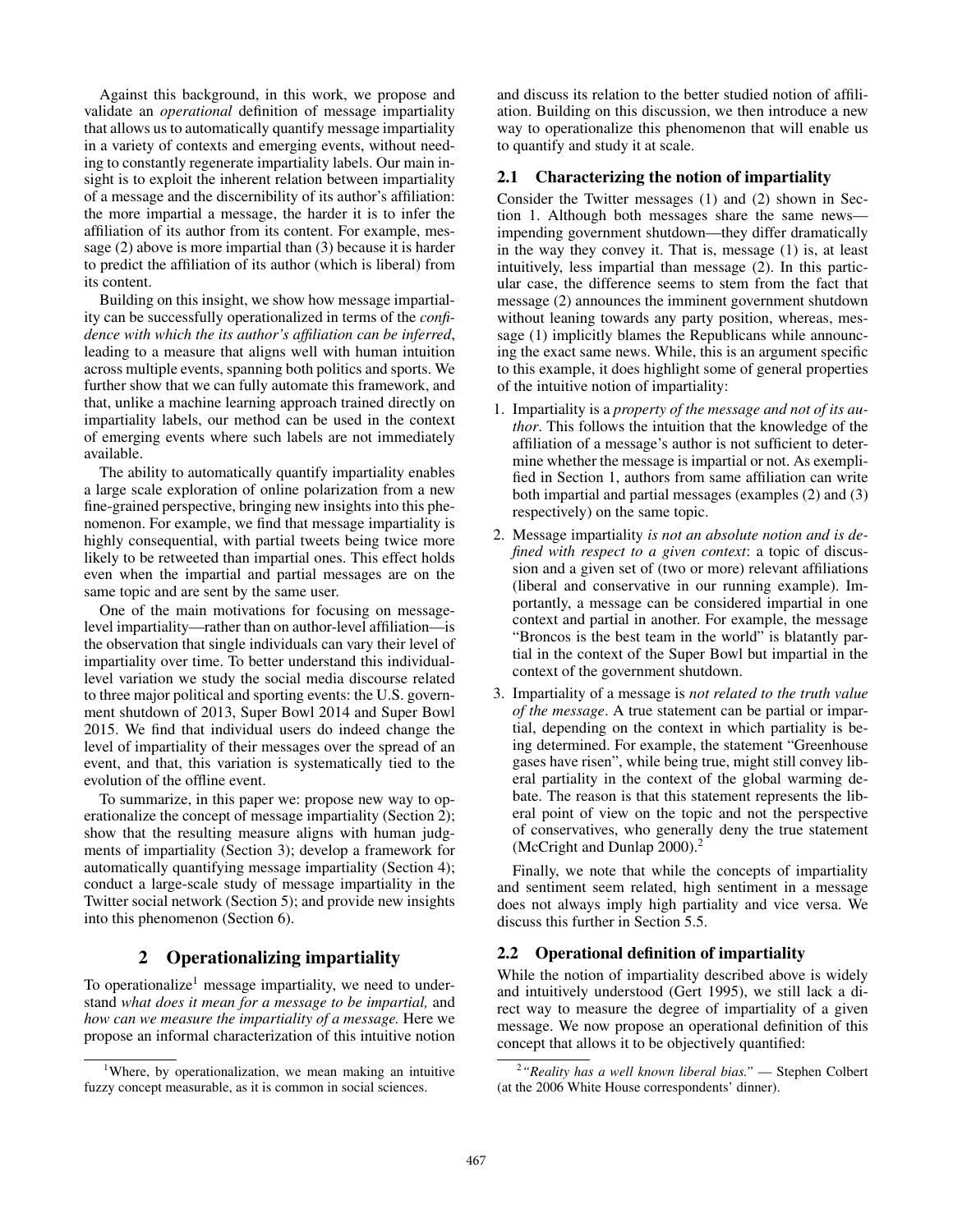Against this background, in this work, we propose and validate an *operational* definition of message impartiality that allows us to automatically quantify message impartiality in a variety of contexts and emerging events, without needing to constantly regenerate impartiality labels. Our main insight is to exploit the inherent relation between impartiality of a message and the discernibility of its author's affiliation: the more impartial a message, the harder it is to infer the affiliation of its author from its content. For example, message (2) above is more impartial than (3) because it is harder to predict the affiliation of its author (which is liberal) from its content.

Building on this insight, we show how message impartiality can be successfully operationalized in terms of the *confidence with which the its author's affiliation can be inferred*, leading to a measure that aligns well with human intuition across multiple events, spanning both politics and sports. We further show that we can fully automate this framework, and that, unlike a machine learning approach trained directly on impartiality labels, our method can be used in the context of emerging events where such labels are not immediately available.

The ability to automatically quantify impartiality enables a large scale exploration of online polarization from a new fine-grained perspective, bringing new insights into this phenomenon. For example, we find that message impartiality is highly consequential, with partial tweets being twice more likely to be retweeted than impartial ones. This effect holds even when the impartial and partial messages are on the same topic and are sent by the same user.

One of the main motivations for focusing on messagelevel impartiality—rather than on author-level affiliation—is the observation that single individuals can vary their level of impartiality over time. To better understand this individuallevel variation we study the social media discourse related to three major political and sporting events: the U.S. government shutdown of 2013, Super Bowl 2014 and Super Bowl 2015. We find that individual users do indeed change the level of impartiality of their messages over the spread of an event, and that, this variation is systematically tied to the evolution of the offline event.

To summarize, in this paper we: propose new way to operationalize the concept of message impartiality (Section 2); show that the resulting measure aligns with human judgments of impartiality (Section 3); develop a framework for automatically quantifying message impartiality (Section 4); conduct a large-scale study of message impartiality in the Twitter social network (Section 5); and provide new insights into this phenomenon (Section 6).

# 2 Operationalizing impartiality

To operationalize<sup>1</sup> message impartiality, we need to understand *what does it mean for a message to be impartial,* and *how can we measure the impartiality of a message.* Here we propose an informal characterization of this intuitive notion

and discuss its relation to the better studied notion of affiliation. Building on this discussion, we then introduce a new way to operationalize this phenomenon that will enable us to quantify and study it at scale.

## 2.1 Characterizing the notion of impartiality

Consider the Twitter messages (1) and (2) shown in Section 1. Although both messages share the same news impending government shutdown—they differ dramatically in the way they convey it. That is, message (1) is, at least intuitively, less impartial than message (2). In this particular case, the difference seems to stem from the fact that message (2) announces the imminent government shutdown without leaning towards any party position, whereas, message (1) implicitly blames the Republicans while announcing the exact same news. While, this is an argument specific to this example, it does highlight some of general properties of the intuitive notion of impartiality:

- 1. Impartiality is a *property of the message and not of its author*. This follows the intuition that the knowledge of the affiliation of a message's author is not sufficient to determine whether the message is impartial or not. As exemplified in Section 1, authors from same affiliation can write both impartial and partial messages (examples (2) and (3) respectively) on the same topic.
- 2. Message impartiality *is not an absolute notion and is defined with respect to a given context*: a topic of discussion and a given set of (two or more) relevant affiliations (liberal and conservative in our running example). Importantly, a message can be considered impartial in one context and partial in another. For example, the message "Broncos is the best team in the world" is blatantly partial in the context of the Super Bowl but impartial in the context of the government shutdown.
- 3. Impartiality of a message is *not related to the truth value of the message*. A true statement can be partial or impartial, depending on the context in which partiality is being determined. For example, the statement "Greenhouse gases have risen", while being true, might still convey liberal partiality in the context of the global warming debate. The reason is that this statement represents the liberal point of view on the topic and not the perspective of conservatives, who generally deny the true statement (McCright and Dunlap 2000).<sup>2</sup>

Finally, we note that while the concepts of impartiality and sentiment seem related, high sentiment in a message does not always imply high partiality and vice versa. We discuss this further in Section 5.5.

## 2.2 Operational definition of impartiality

While the notion of impartiality described above is widely and intuitively understood (Gert 1995), we still lack a direct way to measure the degree of impartiality of a given message. We now propose an operational definition of this concept that allows it to be objectively quantified:

<sup>&</sup>lt;sup>1</sup>Where, by operationalization, we mean making an intuitive fuzzy concept measurable, as it is common in social sciences.

<sup>2</sup> *"Reality has a well known liberal bias."* — Stephen Colbert (at the 2006 White House correspondents' dinner).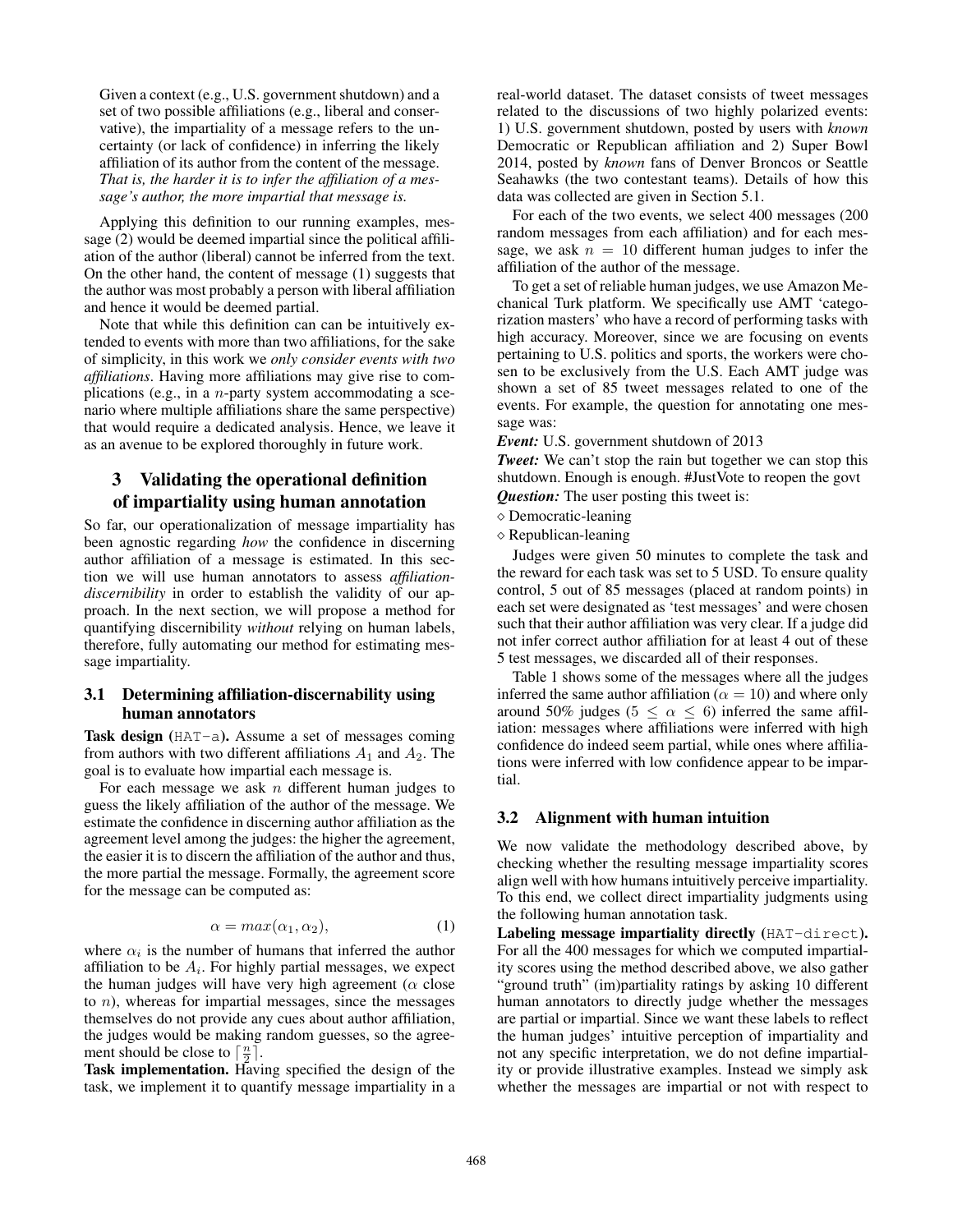Given a context (e.g., U.S. government shutdown) and a set of two possible affiliations (e.g., liberal and conservative), the impartiality of a message refers to the uncertainty (or lack of confidence) in inferring the likely affiliation of its author from the content of the message. *That is, the harder it is to infer the affiliation of a message's author, the more impartial that message is.*

Applying this definition to our running examples, message (2) would be deemed impartial since the political affiliation of the author (liberal) cannot be inferred from the text. On the other hand, the content of message (1) suggests that the author was most probably a person with liberal affiliation and hence it would be deemed partial.

Note that while this definition can can be intuitively extended to events with more than two affiliations, for the sake of simplicity, in this work we *only consider events with two affiliations*. Having more affiliations may give rise to complications (e.g., in a n-party system accommodating a scenario where multiple affiliations share the same perspective) that would require a dedicated analysis. Hence, we leave it as an avenue to be explored thoroughly in future work.

# 3 Validating the operational definition of impartiality using human annotation

So far, our operationalization of message impartiality has been agnostic regarding *how* the confidence in discerning author affiliation of a message is estimated. In this section we will use human annotators to assess *affiliationdiscernibility* in order to establish the validity of our approach. In the next section, we will propose a method for quantifying discernibility *without* relying on human labels, therefore, fully automating our method for estimating message impartiality.

## 3.1 Determining affiliation-discernability using human annotators

Task design (HAT-a). Assume a set of messages coming from authors with two different affiliations  $A_1$  and  $A_2$ . The goal is to evaluate how impartial each message is.

For each message we ask  $n$  different human judges to guess the likely affiliation of the author of the message. We estimate the confidence in discerning author affiliation as the agreement level among the judges: the higher the agreement, the easier it is to discern the affiliation of the author and thus, the more partial the message. Formally, the agreement score for the message can be computed as:

$$
\alpha = \max(\alpha_1, \alpha_2),\tag{1}
$$

where  $\alpha_i$  is the number of humans that inferred the author affiliation to be  $A_i$ . For highly partial messages, we expect affiliation to be  $A_i$ . For highly partial messages, we expect the human judges will have very high agreement ( $\alpha$  close to  $n$ ), whereas for impartial messages, since the messages themselves do not provide any cues about author affiliation, the judges would be making random guesses, so the agreement should be close to  $\left[\frac{n}{2}\right]$ .

Task implementation. Having specified the design of the task, we implement it to quantify message impartiality in a real-world dataset. The dataset consists of tweet messages related to the discussions of two highly polarized events: 1) U.S. government shutdown, posted by users with *known* Democratic or Republican affiliation and 2) Super Bowl 2014, posted by *known* fans of Denver Broncos or Seattle Seahawks (the two contestant teams). Details of how this data was collected are given in Section 5.1.

For each of the two events, we select 400 messages (200 random messages from each affiliation) and for each message, we ask  $n = 10$  different human judges to infer the affiliation of the author of the message.

To get a set of reliable human judges, we use Amazon Mechanical Turk platform. We specifically use AMT 'categorization masters' who have a record of performing tasks with high accuracy. Moreover, since we are focusing on events pertaining to U.S. politics and sports, the workers were chosen to be exclusively from the U.S. Each AMT judge was shown a set of 85 tweet messages related to one of the events. For example, the question for annotating one message was:

*Event:* U.S. government shutdown of 2013

*Tweet:* We can't stop the rain but together we can stop this shutdown. Enough is enough. #JustVote to reopen the govt *Question:* The user posting this tweet is:

 $\diamond$  Democratic-leaning

 $\diamond$  Republican-leaning

Judges were given 50 minutes to complete the task and the reward for each task was set to 5 USD. To ensure quality control, 5 out of 85 messages (placed at random points) in each set were designated as 'test messages' and were chosen such that their author affiliation was very clear. If a judge did not infer correct author affiliation for at least 4 out of these 5 test messages, we discarded all of their responses.

Table 1 shows some of the messages where all the judges inferred the same author affiliation ( $\alpha = 10$ ) and where only around 50% judges ( $5 \le \alpha \le 6$ ) inferred the same affiliation: messages where affiliations were inferred with high confidence do indeed seem partial, while ones where affiliations were inferred with low confidence appear to be impartial.

# 3.2 Alignment with human intuition

We now validate the methodology described above, by checking whether the resulting message impartiality scores align well with how humans intuitively perceive impartiality. To this end, we collect direct impartiality judgments using the following human annotation task.

Labeling message impartiality directly (HAT-direct). For all the 400 messages for which we computed impartiality scores using the method described above, we also gather "ground truth" (im)partiality ratings by asking 10 different human annotators to directly judge whether the messages are partial or impartial. Since we want these labels to reflect the human judges' intuitive perception of impartiality and not any specific interpretation, we do not define impartiality or provide illustrative examples. Instead we simply ask whether the messages are impartial or not with respect to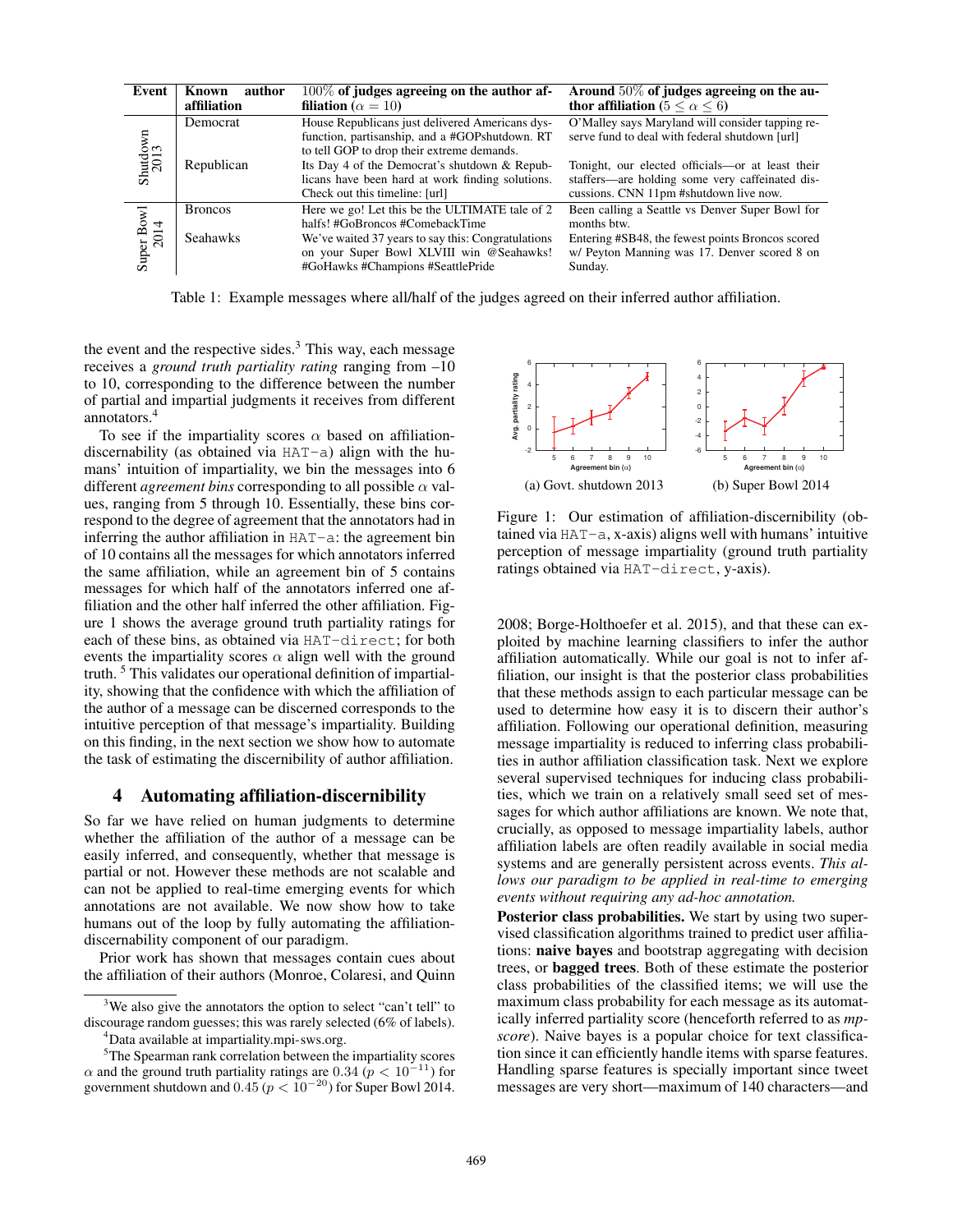| Event              | author<br>Known | $100\%$ of judges agreeing on the author af-                                                                                                    | Around $50\%$ of judges agreeing on the au-                                                                                                   |
|--------------------|-----------------|-------------------------------------------------------------------------------------------------------------------------------------------------|-----------------------------------------------------------------------------------------------------------------------------------------------|
|                    | affiliation     | filiation ( $\alpha = 10$ )                                                                                                                     | thor affiliation (5 $< \alpha < 6$ )                                                                                                          |
| Shutdown<br>$2013$ | Democrat        | House Republicans just delivered Americans dys-<br>function, partisanship, and a #GOPshutdown. RT<br>to tell GOP to drop their extreme demands. | O'Malley says Maryland will consider tapping re-<br>serve fund to deal with federal shutdown [url]                                            |
|                    | Republican      | Its Day 4 of the Democrat's shutdown & Repub-<br>licans have been hard at work finding solutions.<br>Check out this timeline: [url]             | Tonight, our elected officials-or at least their<br>staffers-are holding some very caffeinated dis-<br>cussions. CNN 11pm #shutdown live now. |
| Super Bowl<br>2014 | <b>Broncos</b>  | Here we go! Let this be the ULTIMATE tale of 2<br>halfs! #GoBroncos #ComebackTime                                                               | Been calling a Seattle vs Denver Super Bowl for<br>months btw.                                                                                |
|                    | <b>Seahawks</b> | We've waited 37 years to say this: Congratulations<br>on your Super Bowl XLVIII win @Seahawks!<br>#GoHawks #Champions #SeattlePride             | Entering #SB48, the fewest points Broncos scored<br>w/ Peyton Manning was 17. Denver scored 8 on<br>Sunday.                                   |

Table 1: Example messages where all/half of the judges agreed on their inferred author affiliation.

the event and the respective sides. $3$  This way, each message receives a *ground truth partiality rating* ranging from –10 to 10, corresponding to the difference between the number of partial and impartial judgments it receives from different annotators.4

To see if the impartiality scores  $\alpha$  based on affiliationdiscernability (as obtained via HAT-a) align with the humans' intuition of impartiality, we bin the messages into 6 different *agreement bins* corresponding to all possible  $\alpha$  values, ranging from 5 through 10. Essentially, these bins correspond to the degree of agreement that the annotators had in inferring the author affiliation in HAT-a: the agreement bin of 10 contains all the messages for which annotators inferred the same affiliation, while an agreement bin of 5 contains messages for which half of the annotators inferred one affiliation and the other half inferred the other affiliation. Figure 1 shows the average ground truth partiality ratings for each of these bins, as obtained via HAT-direct; for both events the impartiality scores  $\alpha$  align well with the ground truth. <sup>5</sup> This validates our operational definition of impartiality, showing that the confidence with which the affiliation of the author of a message can be discerned corresponds to the intuitive perception of that message's impartiality. Building on this finding, in the next section we show how to automate the task of estimating the discernibility of author affiliation.

#### 4 Automating affiliation-discernibility

So far we have relied on human judgments to determine whether the affiliation of the author of a message can be easily inferred, and consequently, whether that message is partial or not. However these methods are not scalable and can not be applied to real-time emerging events for which annotations are not available. We now show how to take humans out of the loop by fully automating the affiliationdiscernability component of our paradigm.

Prior work has shown that messages contain cues about the affiliation of their authors (Monroe, Colaresi, and Quinn



Figure 1: Our estimation of affiliation-discernibility (obtained via  $HAT-a$ , x-axis) aligns well with humans' intuitive perception of message impartiality (ground truth partiality ratings obtained via HAT-direct, y-axis).

2008; Borge-Holthoefer et al. 2015), and that these can exploited by machine learning classifiers to infer the author affiliation automatically. While our goal is not to infer affiliation, our insight is that the posterior class probabilities that these methods assign to each particular message can be used to determine how easy it is to discern their author's affiliation. Following our operational definition, measuring message impartiality is reduced to inferring class probabilities in author affiliation classification task. Next we explore several supervised techniques for inducing class probabilities, which we train on a relatively small seed set of messages for which author affiliations are known. We note that, crucially, as opposed to message impartiality labels, author affiliation labels are often readily available in social media systems and are generally persistent across events. *This allows our paradigm to be applied in real-time to emerging events without requiring any ad-hoc annotation.*

Posterior class probabilities. We start by using two supervised classification algorithms trained to predict user affiliations: naive bayes and bootstrap aggregating with decision trees, or bagged trees. Both of these estimate the posterior class probabilities of the classified items; we will use the maximum class probability for each message as its automatically inferred partiality score (henceforth referred to as *mpscore*). Naive bayes is a popular choice for text classification since it can efficiently handle items with sparse features. Handling sparse features is specially important since tweet messages are very short—maximum of 140 characters—and

<sup>&</sup>lt;sup>3</sup>We also give the annotators the option to select "can't tell" to discourage random guesses; this was rarely selected (6% of labels).

<sup>4</sup> Data available at impartiality.mpi-sws.org.

<sup>&</sup>lt;sup>5</sup>The Spearman rank correlation between the impartiality scores  $\alpha$  and the ground truth partiality ratings are 0.34 ( $p < 10^{-11}$ ) for government shutdown and  $0.45 (p < 10^{-20})$  for Super Bowl 2014.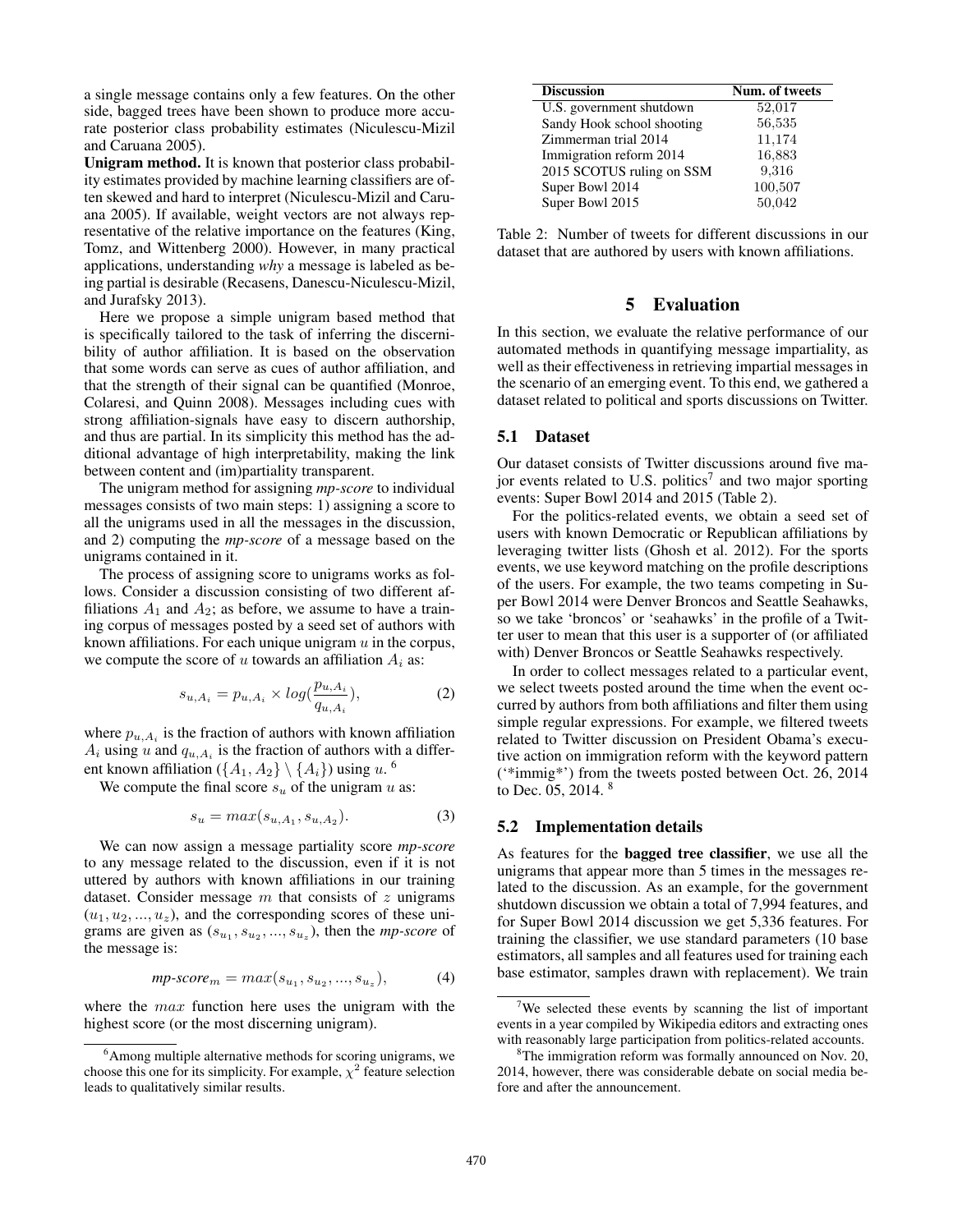a single message contains only a few features. On the other side, bagged trees have been shown to produce more accurate posterior class probability estimates (Niculescu-Mizil and Caruana 2005).

Unigram method. It is known that posterior class probability estimates provided by machine learning classifiers are often skewed and hard to interpret (Niculescu-Mizil and Caruana 2005). If available, weight vectors are not always representative of the relative importance on the features (King, Tomz, and Wittenberg 2000). However, in many practical applications, understanding *why* a message is labeled as being partial is desirable (Recasens, Danescu-Niculescu-Mizil, and Jurafsky 2013).

Here we propose a simple unigram based method that is specifically tailored to the task of inferring the discernibility of author affiliation. It is based on the observation that some words can serve as cues of author affiliation, and that the strength of their signal can be quantified (Monroe, Colaresi, and Quinn 2008). Messages including cues with strong affiliation-signals have easy to discern authorship, and thus are partial. In its simplicity this method has the additional advantage of high interpretability, making the link between content and (im)partiality transparent.

The unigram method for assigning *mp-score* to individual messages consists of two main steps: 1) assigning a score to all the unigrams used in all the messages in the discussion, and 2) computing the *mp-score* of a message based on the unigrams contained in it.

The process of assigning score to unigrams works as follows. Consider a discussion consisting of two different affiliations  $A_1$  and  $A_2$ ; as before, we assume to have a training corpus of messages posted by a seed set of authors with known affiliations. For each unique unigram  $u$  in the corpus, we compute the score of u towards an affiliation  $A_i$  as:

$$
s_{u, A_i} = p_{u, A_i} \times \log(\frac{p_{u, A_i}}{q_{u, A_i}}),
$$
 (2)

where  $p_{u,A_i}$  is the fraction of authors with known affiliation  $A_i$  using u and  $q_{u,A_i}$  is the fraction of authors with a different known affiliation ( $\{A_1, A_2\} \setminus \{A_i\}$ ) using u. <sup>6</sup>

We compute the final score  $s_u$  of the unigram u as:

$$
s_u = max(s_{u, A_1}, s_{u, A_2}).
$$
\n(3)

We can now assign a message partiality score *mp-score* to any message related to the discussion, even if it is not uttered by authors with known affiliations in our training dataset. Consider message  $m$  that consists of  $z$  unigrams  $(u_1, u_2, ..., u_z)$ , and the corresponding scores of these unigrams are given as  $(s_{u_1}, s_{u_2}, ..., s_{u_z})$ , then the *mp-score* of the message is:

$$
mp\text{-}score_m = max(s_{u_1}, s_{u_2}, ..., s_{u_z}),
$$
 (4)

where the *max* function here uses the unigram with the highest score (or the most discerning unigram).

| <b>Discussion</b>          | Num. of tweets |
|----------------------------|----------------|
| U.S. government shutdown   | 52,017         |
| Sandy Hook school shooting | 56,535         |
| Zimmerman trial 2014       | 11,174         |
| Immigration reform 2014    | 16,883         |
| 2015 SCOTUS ruling on SSM  | 9,316          |
| Super Bowl 2014            | 100,507        |
| Super Bowl 2015            | 50,042         |

Table 2: Number of tweets for different discussions in our dataset that are authored by users with known affiliations.

## 5 Evaluation

In this section, we evaluate the relative performance of our automated methods in quantifying message impartiality, as well as their effectiveness in retrieving impartial messages in the scenario of an emerging event. To this end, we gathered a dataset related to political and sports discussions on Twitter.

### 5.1 Dataset

Our dataset consists of Twitter discussions around five major events related to U.S. politics<sup>7</sup> and two major sporting events: Super Bowl 2014 and 2015 (Table 2).

For the politics-related events, we obtain a seed set of users with known Democratic or Republican affiliations by leveraging twitter lists (Ghosh et al. 2012). For the sports events, we use keyword matching on the profile descriptions of the users. For example, the two teams competing in Super Bowl 2014 were Denver Broncos and Seattle Seahawks, so we take 'broncos' or 'seahawks' in the profile of a Twitter user to mean that this user is a supporter of (or affiliated with) Denver Broncos or Seattle Seahawks respectively.

In order to collect messages related to a particular event, we select tweets posted around the time when the event occurred by authors from both affiliations and filter them using simple regular expressions. For example, we filtered tweets related to Twitter discussion on President Obama's executive action on immigration reform with the keyword pattern ('\*immig\*') from the tweets posted between Oct. 26, 2014 to Dec. 05, 2014. <sup>8</sup>

#### 5.2 Implementation details

As features for the bagged tree classifier, we use all the unigrams that appear more than 5 times in the messages related to the discussion. As an example, for the government shutdown discussion we obtain a total of 7,994 features, and for Super Bowl 2014 discussion we get 5,336 features. For training the classifier, we use standard parameters (10 base estimators, all samples and all features used for training each base estimator, samples drawn with replacement). We train

<sup>&</sup>lt;sup>6</sup> Among multiple alternative methods for scoring unigrams, we choose this one for its simplicity. For example,  $\chi^2$  feature selection leads to qualitatively similar results.

 $7$ We selected these events by scanning the list of important events in a year compiled by Wikipedia editors and extracting ones with reasonably large participation from politics-related accounts.

<sup>&</sup>lt;sup>8</sup>The immigration reform was formally announced on Nov. 20, 2014, however, there was considerable debate on social media before and after the announcement.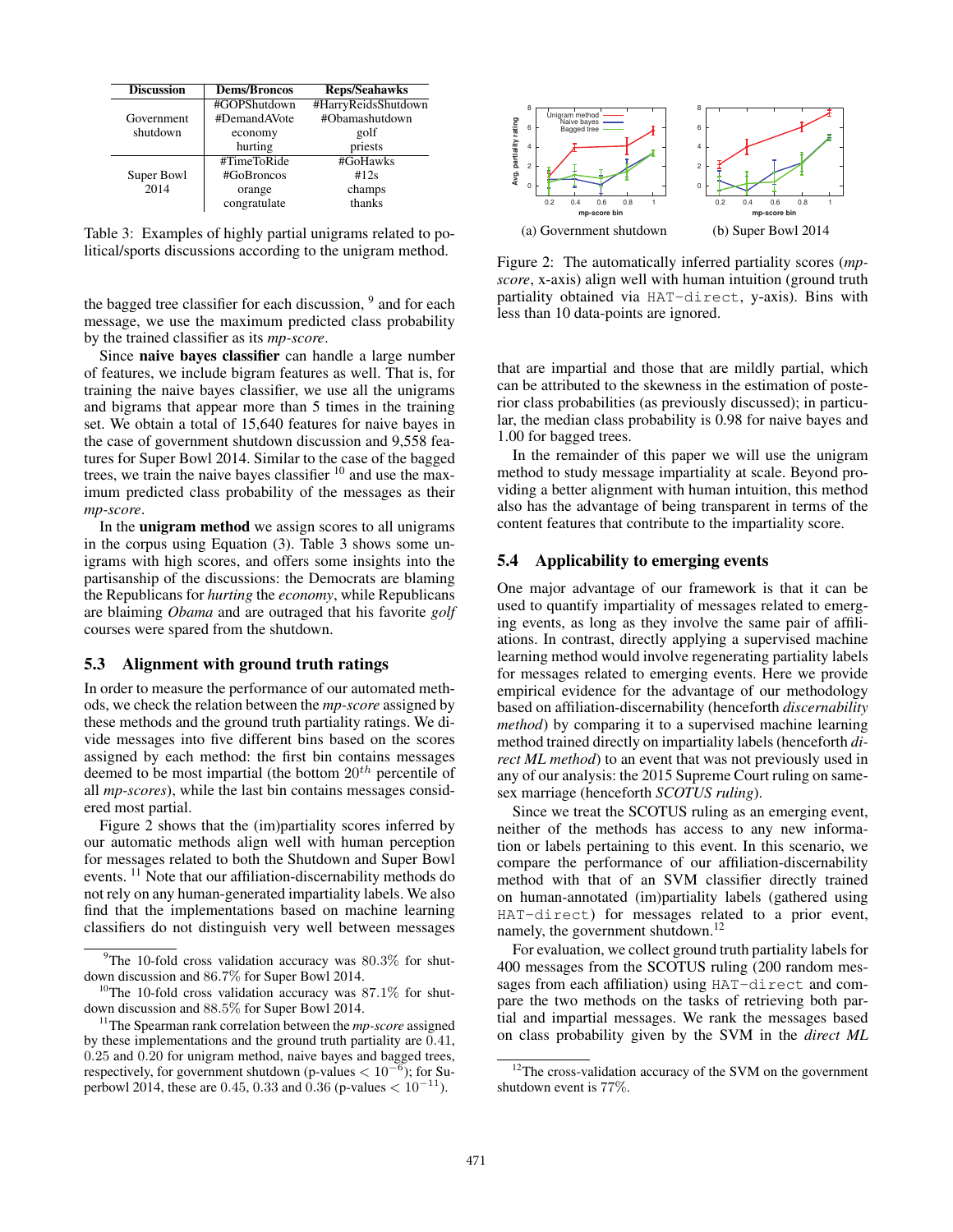| <b>Discussion</b> | <b>Dems/Broncos</b> | <b>Reps/Seahawks</b> |
|-------------------|---------------------|----------------------|
|                   | #GOPShutdown        | #HarryReidsShutdown  |
| Government        | #DemandAVote        | #Obamashutdown       |
| shutdown          | economy             | golf                 |
|                   | hurting             | priests              |
|                   | #TimeToRide         | #GoHawks             |
| Super Bowl        | #GoBroncos          | #12s                 |
| 2014              | orange              | champs               |
|                   | congratulate        | thanks               |

Table 3: Examples of highly partial unigrams related to political/sports discussions according to the unigram method.

the bagged tree classifier for each discussion,  $9$  and for each message, we use the maximum predicted class probability by the trained classifier as its *mp-score*.

Since naive bayes classifier can handle a large number of features, we include bigram features as well. That is, for training the naive bayes classifier, we use all the unigrams and bigrams that appear more than 5 times in the training set. We obtain a total of 15,640 features for naive bayes in the case of government shutdown discussion and 9,558 features for Super Bowl 2014. Similar to the case of the bagged trees, we train the naive bayes classifier <sup>10</sup> and use the maximum predicted class probability of the messages as their *mp-score*.

In the unigram method we assign scores to all unigrams in the corpus using Equation (3). Table 3 shows some unigrams with high scores, and offers some insights into the partisanship of the discussions: the Democrats are blaming the Republicans for *hurting* the *economy*, while Republicans are blaiming *Obama* and are outraged that his favorite *golf* courses were spared from the shutdown.

#### 5.3 Alignment with ground truth ratings

In order to measure the performance of our automated methods, we check the relation between the *mp-score* assigned by these methods and the ground truth partiality ratings. We divide messages into five different bins based on the scores assigned by each method: the first bin contains messages deemed to be most impartial (the bottom  $20^{th}$  percentile of all *mp-scores*), while the last bin contains messages considered most partial.

Figure 2 shows that the (im)partiality scores inferred by our automatic methods align well with human perception for messages related to both the Shutdown and Super Bowl events. <sup>11</sup> Note that our affiliation-discernability methods do not rely on any human-generated impartiality labels. We also find that the implementations based on machine learning classifiers do not distinguish very well between messages



Figure 2: The automatically inferred partiality scores (*mpscore*, x-axis) align well with human intuition (ground truth partiality obtained via HAT-direct, y-axis). Bins with less than 10 data-points are ignored.

that are impartial and those that are mildly partial, which can be attributed to the skewness in the estimation of posterior class probabilities (as previously discussed); in particular, the median class probability is 0.98 for naive bayes and 1.00 for bagged trees.

In the remainder of this paper we will use the unigram method to study message impartiality at scale. Beyond providing a better alignment with human intuition, this method also has the advantage of being transparent in terms of the content features that contribute to the impartiality score.

#### 5.4 Applicability to emerging events

One major advantage of our framework is that it can be used to quantify impartiality of messages related to emerging events, as long as they involve the same pair of affiliations. In contrast, directly applying a supervised machine learning method would involve regenerating partiality labels for messages related to emerging events. Here we provide empirical evidence for the advantage of our methodology based on affiliation-discernability (henceforth *discernability method*) by comparing it to a supervised machine learning method trained directly on impartiality labels (henceforth *direct ML method*) to an event that was not previously used in any of our analysis: the 2015 Supreme Court ruling on samesex marriage (henceforth *SCOTUS ruling*).

Since we treat the SCOTUS ruling as an emerging event, neither of the methods has access to any new information or labels pertaining to this event. In this scenario, we compare the performance of our affiliation-discernability method with that of an SVM classifier directly trained on human-annotated (im)partiality labels (gathered using HAT-direct) for messages related to a prior event, namely, the government shutdown.<sup>12</sup>

For evaluation, we collect ground truth partiality labels for 400 messages from the SCOTUS ruling (200 random messages from each affiliation) using HAT-direct and compare the two methods on the tasks of retrieving both partial and impartial messages. We rank the messages based on class probability given by the SVM in the *direct ML*

 $9$ The 10-fold cross validation accuracy was 80.3% for shutdown discussion and 86.7% for Super Bowl 2014.

 $10$ The 10-fold cross validation accuracy was 87.1% for shutdown discussion and 88.5% for Super Bowl 2014.

<sup>11</sup>The Spearman rank correlation between the *mp-score* assigned by these implementations and the ground truth partiality are 0.41, 0.25 and 0.20 for unigram method, naive bayes and bagged trees, respectively, for government shutdown (p-values  $< 10^{-6}$ ); for Superbowl 2014, these are 0.45, 0.33 and 0.36 (p-values  $< 10^{-11}$ ).

<sup>&</sup>lt;sup>12</sup>The cross-validation accuracy of the SVM on the government shutdown event is 77%.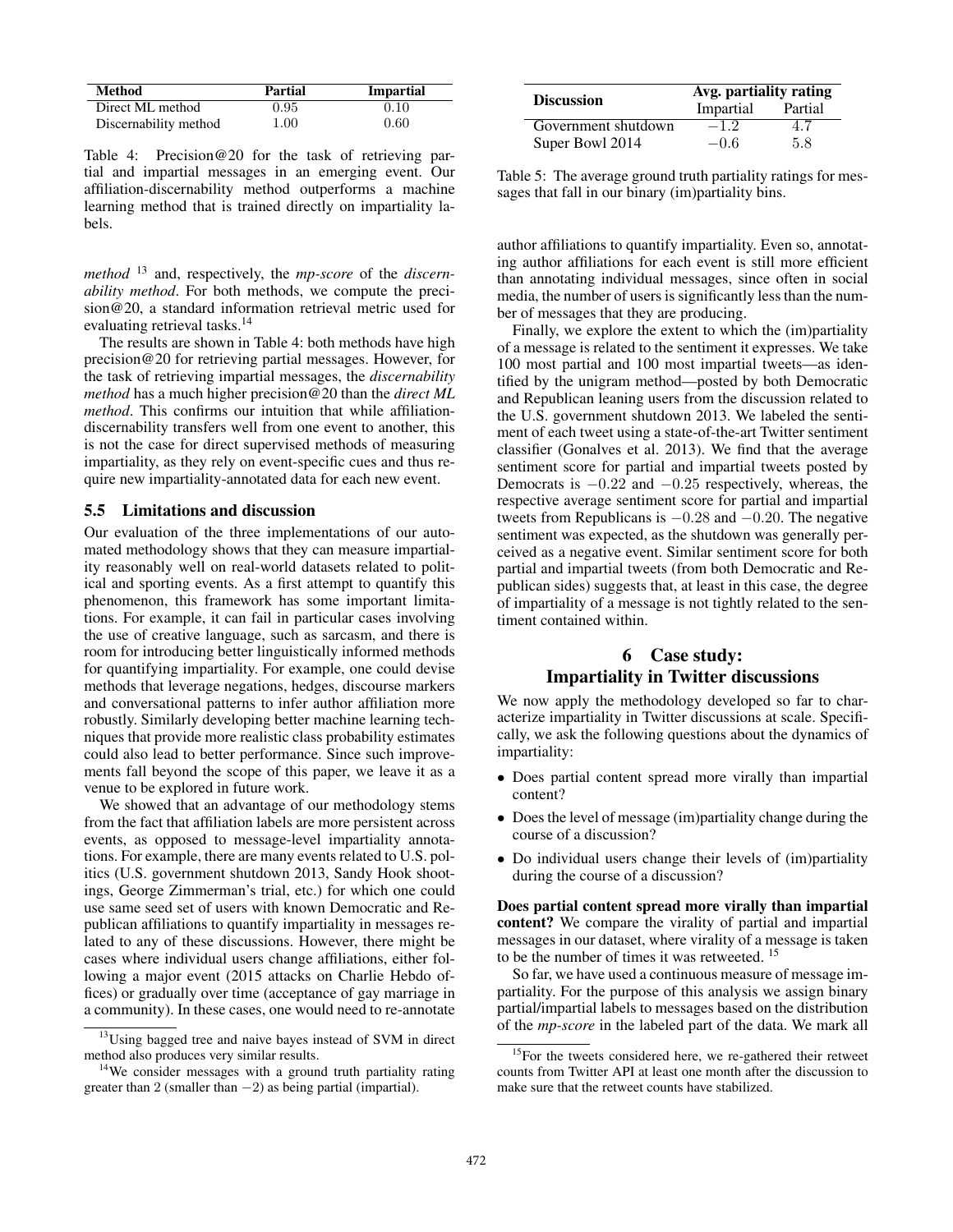| <b>Method</b>         | Partial | <b>Impartial</b> |
|-----------------------|---------|------------------|
| Direct ML method      | 0.95    | 0.10             |
| Discernability method | 1.00    | 0.60             |

Table 4: Precision@20 for the task of retrieving partial and impartial messages in an emerging event. Our affiliation-discernability method outperforms a machine learning method that is trained directly on impartiality labels.

*method* <sup>13</sup> and, respectively, the *mp-score* of the *discernability method*. For both methods, we compute the precision@20, a standard information retrieval metric used for evaluating retrieval tasks.<sup>14</sup>

The results are shown in Table 4: both methods have high precision@20 for retrieving partial messages. However, for the task of retrieving impartial messages, the *discernability method* has a much higher precision@20 than the *direct ML method*. This confirms our intuition that while affiliationdiscernability transfers well from one event to another, this is not the case for direct supervised methods of measuring impartiality, as they rely on event-specific cues and thus require new impartiality-annotated data for each new event.

#### 5.5 Limitations and discussion

Our evaluation of the three implementations of our automated methodology shows that they can measure impartiality reasonably well on real-world datasets related to political and sporting events. As a first attempt to quantify this phenomenon, this framework has some important limitations. For example, it can fail in particular cases involving the use of creative language, such as sarcasm, and there is room for introducing better linguistically informed methods for quantifying impartiality. For example, one could devise methods that leverage negations, hedges, discourse markers and conversational patterns to infer author affiliation more robustly. Similarly developing better machine learning techniques that provide more realistic class probability estimates could also lead to better performance. Since such improvements fall beyond the scope of this paper, we leave it as a venue to be explored in future work.

We showed that an advantage of our methodology stems from the fact that affiliation labels are more persistent across events, as opposed to message-level impartiality annotations. For example, there are many events related to U.S. politics (U.S. government shutdown 2013, Sandy Hook shootings, George Zimmerman's trial, etc.) for which one could use same seed set of users with known Democratic and Republican affiliations to quantify impartiality in messages related to any of these discussions. However, there might be cases where individual users change affiliations, either following a major event (2015 attacks on Charlie Hebdo offices) or gradually over time (acceptance of gay marriage in a community). In these cases, one would need to re-annotate

|                     | Avg. partiality rating |         |  |
|---------------------|------------------------|---------|--|
| <b>Discussion</b>   | Impartial              | Partial |  |
| Government shutdown | $-1.2$                 | 4.7     |  |
| Super Bowl 2014     | $-0.6$                 | 5.8     |  |

Table 5: The average ground truth partiality ratings for messages that fall in our binary (im)partiality bins.

author affiliations to quantify impartiality. Even so, annotating author affiliations for each event is still more efficient than annotating individual messages, since often in social media, the number of users is significantly less than the number of messages that they are producing.

Finally, we explore the extent to which the (im)partiality of a message is related to the sentiment it expresses. We take 100 most partial and 100 most impartial tweets—as identified by the unigram method—posted by both Democratic and Republican leaning users from the discussion related to the U.S. government shutdown 2013. We labeled the sentiment of each tweet using a state-of-the-art Twitter sentiment classifier (Gonalves et al. 2013). We find that the average sentiment score for partial and impartial tweets posted by Democrats is  $-0.22$  and  $-0.25$  respectively, whereas, the respective average sentiment score for partial and impartial tweets from Republicans is <sup>−</sup>0.<sup>28</sup> and <sup>−</sup>0.20. The negative sentiment was expected, as the shutdown was generally perceived as a negative event. Similar sentiment score for both partial and impartial tweets (from both Democratic and Republican sides) suggests that, at least in this case, the degree of impartiality of a message is not tightly related to the sentiment contained within.

# 6 Case study: Impartiality in Twitter discussions

We now apply the methodology developed so far to characterize impartiality in Twitter discussions at scale. Specifically, we ask the following questions about the dynamics of impartiality:

- Does partial content spread more virally than impartial content?
- Does the level of message (im)partiality change during the course of a discussion?
- Do individual users change their levels of (im)partiality during the course of a discussion?

Does partial content spread more virally than impartial content? We compare the virality of partial and impartial messages in our dataset, where virality of a message is taken to be the number of times it was retweeted. <sup>15</sup>

So far, we have used a continuous measure of message impartiality. For the purpose of this analysis we assign binary partial/impartial labels to messages based on the distribution of the *mp-score* in the labeled part of the data. We mark all

 $13$ Using bagged tree and naive bayes instead of SVM in direct method also produces very similar results.

<sup>&</sup>lt;sup>14</sup>We consider messages with a ground truth partiality rating greater than 2 (smaller than  $-2$ ) as being partial (impartial).

 $15$ For the tweets considered here, we re-gathered their retweet counts from Twitter API at least one month after the discussion to make sure that the retweet counts have stabilized.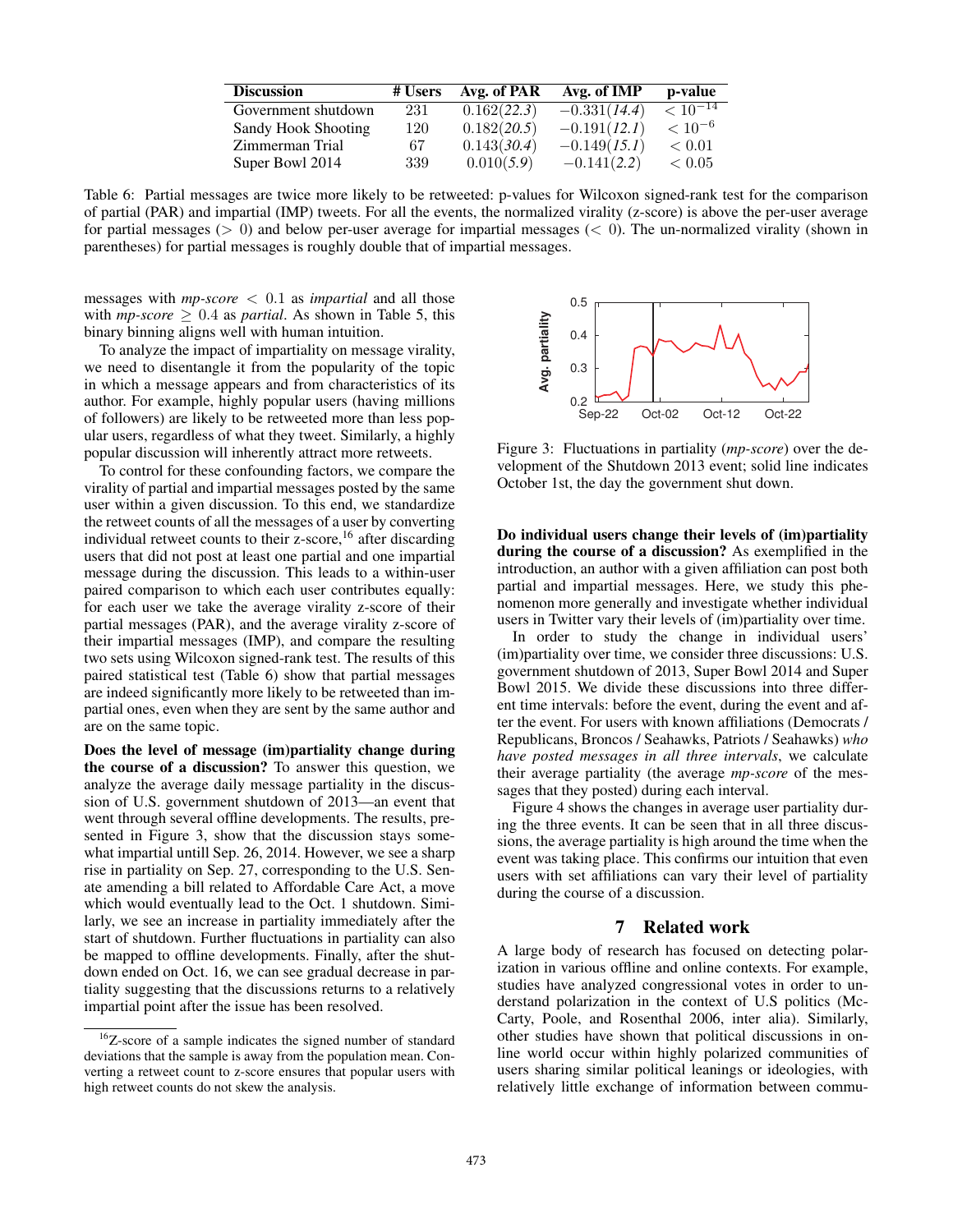| <b>Discussion</b>   | # Users | Avg. of PAR | Avg. of IMP    | p-value         |
|---------------------|---------|-------------|----------------|-----------------|
| Government shutdown | 231     | 0.162(22.3) | $-0.331(14.4)$ | $\leq 10^{-14}$ |
| Sandy Hook Shooting | 120     | 0.182(20.5) | $-0.191(12.1)$ | $< 10^{-6}$     |
| Zimmerman Trial     | 67      | 0.143(30.4) | $-0.149(15.1)$ | ${}< 0.01$      |
| Super Bowl 2014     | 339     | 0.010(5.9)  | $-0.141(2.2)$  | < 0.05          |
|                     |         |             |                |                 |

Table 6: Partial messages are twice more likely to be retweeted: p-values for Wilcoxon signed-rank test for the comparison of partial (PAR) and impartial (IMP) tweets. For all the events, the normalized virality (z-score) is above the per-user average for partial messages ( $> 0$ ) and below per-user average for impartial messages ( $< 0$ ). The un-normalized virality (shown in parentheses) for partial messages is roughly double that of impartial messages.

messages with *mp-score* < <sup>0</sup>.<sup>1</sup> as *impartial* and all those with  $mp\text{-}score \geq 0.4$  as *partial*. As shown in Table 5, this binary binning aligns well with human intuition.

To analyze the impact of impartiality on message virality, we need to disentangle it from the popularity of the topic in which a message appears and from characteristics of its author. For example, highly popular users (having millions of followers) are likely to be retweeted more than less popular users, regardless of what they tweet. Similarly, a highly popular discussion will inherently attract more retweets.

To control for these confounding factors, we compare the virality of partial and impartial messages posted by the same user within a given discussion. To this end, we standardize the retweet counts of all the messages of a user by converting individual retweet counts to their z-score,  $16$  after discarding users that did not post at least one partial and one impartial message during the discussion. This leads to a within-user paired comparison to which each user contributes equally: for each user we take the average virality z-score of their partial messages (PAR), and the average virality z-score of their impartial messages (IMP), and compare the resulting two sets using Wilcoxon signed-rank test. The results of this paired statistical test (Table 6) show that partial messages are indeed significantly more likely to be retweeted than impartial ones, even when they are sent by the same author and are on the same topic.

Does the level of message (im)partiality change during the course of a discussion? To answer this question, we analyze the average daily message partiality in the discussion of U.S. government shutdown of 2013—an event that went through several offline developments. The results, presented in Figure 3, show that the discussion stays somewhat impartial untill Sep. 26, 2014. However, we see a sharp rise in partiality on Sep. 27, corresponding to the U.S. Senate amending a bill related to Affordable Care Act, a move which would eventually lead to the Oct. 1 shutdown. Similarly, we see an increase in partiality immediately after the start of shutdown. Further fluctuations in partiality can also be mapped to offline developments. Finally, after the shutdown ended on Oct. 16, we can see gradual decrease in partiality suggesting that the discussions returns to a relatively impartial point after the issue has been resolved.



Figure 3: Fluctuations in partiality (*mp-score*) over the development of the Shutdown 2013 event; solid line indicates October 1st, the day the government shut down.

Do individual users change their levels of (im)partiality during the course of a discussion? As exemplified in the introduction, an author with a given affiliation can post both partial and impartial messages. Here, we study this phenomenon more generally and investigate whether individual users in Twitter vary their levels of (im)partiality over time.

In order to study the change in individual users' (im)partiality over time, we consider three discussions: U.S. government shutdown of 2013, Super Bowl 2014 and Super Bowl 2015. We divide these discussions into three different time intervals: before the event, during the event and after the event. For users with known affiliations (Democrats / Republicans, Broncos / Seahawks, Patriots / Seahawks) *who have posted messages in all three intervals*, we calculate their average partiality (the average *mp-score* of the messages that they posted) during each interval.

Figure 4 shows the changes in average user partiality during the three events. It can be seen that in all three discussions, the average partiality is high around the time when the event was taking place. This confirms our intuition that even users with set affiliations can vary their level of partiality during the course of a discussion.

## 7 Related work

A large body of research has focused on detecting polarization in various offline and online contexts. For example, studies have analyzed congressional votes in order to understand polarization in the context of U.S politics (Mc-Carty, Poole, and Rosenthal 2006, inter alia). Similarly, other studies have shown that political discussions in online world occur within highly polarized communities of users sharing similar political leanings or ideologies, with relatively little exchange of information between commu-

<sup>&</sup>lt;sup>16</sup>Z-score of a sample indicates the signed number of standard deviations that the sample is away from the population mean. Converting a retweet count to z-score ensures that popular users with high retweet counts do not skew the analysis.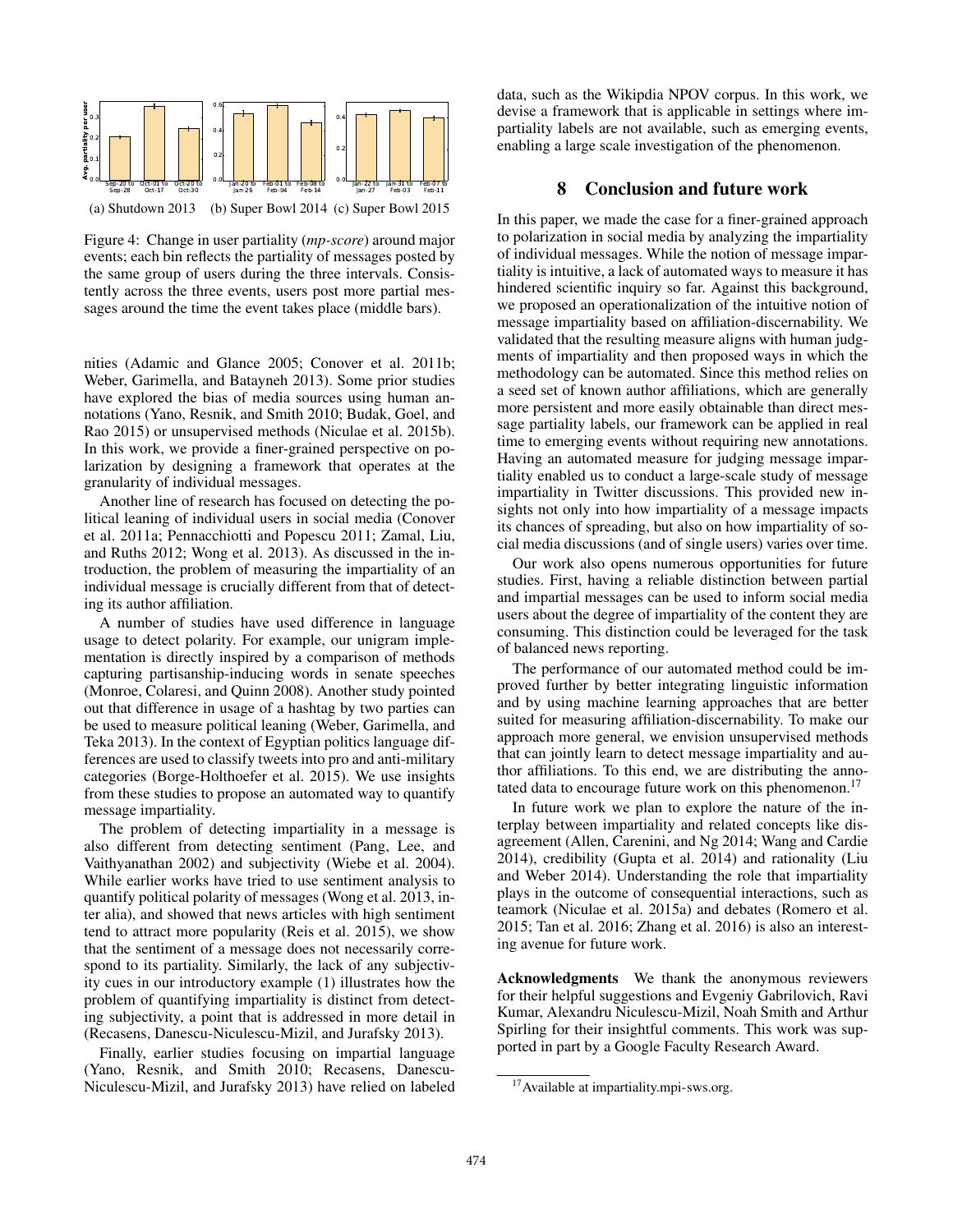

Figure 4: Change in user partiality (*mp-score*) around major events; each bin reflects the partiality of messages posted by the same group of users during the three intervals. Consistently across the three events, users post more partial messages around the time the event takes place (middle bars).

nities (Adamic and Glance 2005; Conover et al. 2011b; Weber, Garimella, and Batayneh 2013). Some prior studies have explored the bias of media sources using human annotations (Yano, Resnik, and Smith 2010; Budak, Goel, and Rao 2015) or unsupervised methods (Niculae et al. 2015b). In this work, we provide a finer-grained perspective on polarization by designing a framework that operates at the granularity of individual messages.

Another line of research has focused on detecting the political leaning of individual users in social media (Conover et al. 2011a; Pennacchiotti and Popescu 2011; Zamal, Liu, and Ruths 2012; Wong et al. 2013). As discussed in the introduction, the problem of measuring the impartiality of an individual message is crucially different from that of detecting its author affiliation.

A number of studies have used difference in language usage to detect polarity. For example, our unigram implementation is directly inspired by a comparison of methods capturing partisanship-inducing words in senate speeches (Monroe, Colaresi, and Quinn 2008). Another study pointed out that difference in usage of a hashtag by two parties can be used to measure political leaning (Weber, Garimella, and Teka 2013). In the context of Egyptian politics language differences are used to classify tweets into pro and anti-military categories (Borge-Holthoefer et al. 2015). We use insights from these studies to propose an automated way to quantify message impartiality.

The problem of detecting impartiality in a message is also different from detecting sentiment (Pang, Lee, and Vaithyanathan 2002) and subjectivity (Wiebe et al. 2004). While earlier works have tried to use sentiment analysis to quantify political polarity of messages (Wong et al. 2013, inter alia), and showed that news articles with high sentiment tend to attract more popularity (Reis et al. 2015), we show that the sentiment of a message does not necessarily correspond to its partiality. Similarly, the lack of any subjectivity cues in our introductory example (1) illustrates how the problem of quantifying impartiality is distinct from detecting subjectivity, a point that is addressed in more detail in (Recasens, Danescu-Niculescu-Mizil, and Jurafsky 2013).

Finally, earlier studies focusing on impartial language (Yano, Resnik, and Smith 2010; Recasens, Danescu-Niculescu-Mizil, and Jurafsky 2013) have relied on labeled

data, such as the Wikipdia NPOV corpus. In this work, we devise a framework that is applicable in settings where impartiality labels are not available, such as emerging events, enabling a large scale investigation of the phenomenon.

# 8 Conclusion and future work

In this paper, we made the case for a finer-grained approach to polarization in social media by analyzing the impartiality of individual messages. While the notion of message impartiality is intuitive, a lack of automated ways to measure it has hindered scientific inquiry so far. Against this background, we proposed an operationalization of the intuitive notion of message impartiality based on affiliation-discernability. We validated that the resulting measure aligns with human judgments of impartiality and then proposed ways in which the methodology can be automated. Since this method relies on a seed set of known author affiliations, which are generally more persistent and more easily obtainable than direct message partiality labels, our framework can be applied in real time to emerging events without requiring new annotations. Having an automated measure for judging message impartiality enabled us to conduct a large-scale study of message impartiality in Twitter discussions. This provided new insights not only into how impartiality of a message impacts its chances of spreading, but also on how impartiality of social media discussions (and of single users) varies over time.

Our work also opens numerous opportunities for future studies. First, having a reliable distinction between partial and impartial messages can be used to inform social media users about the degree of impartiality of the content they are consuming. This distinction could be leveraged for the task of balanced news reporting.

The performance of our automated method could be improved further by better integrating linguistic information and by using machine learning approaches that are better suited for measuring affiliation-discernability. To make our approach more general, we envision unsupervised methods that can jointly learn to detect message impartiality and author affiliations. To this end, we are distributing the annotated data to encourage future work on this phenomenon.<sup>17</sup>

In future work we plan to explore the nature of the interplay between impartiality and related concepts like disagreement (Allen, Carenini, and Ng 2014; Wang and Cardie 2014), credibility (Gupta et al. 2014) and rationality (Liu and Weber 2014). Understanding the role that impartiality plays in the outcome of consequential interactions, such as teamork (Niculae et al. 2015a) and debates (Romero et al. 2015; Tan et al. 2016; Zhang et al. 2016) is also an interesting avenue for future work.

Acknowledgments We thank the anonymous reviewers for their helpful suggestions and Evgeniy Gabrilovich, Ravi Kumar, Alexandru Niculescu-Mizil, Noah Smith and Arthur Spirling for their insightful comments. This work was supported in part by a Google Faculty Research Award.

<sup>&</sup>lt;sup>17</sup> Available at impartiality.mpi-sws.org.